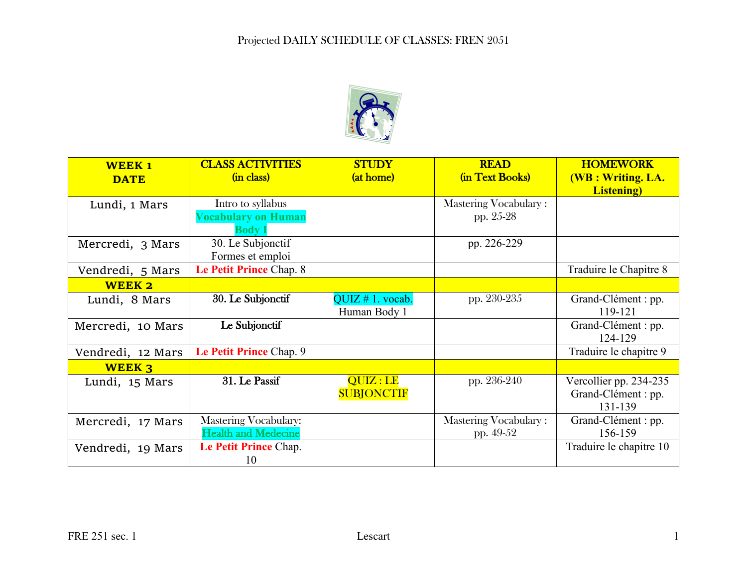

| <b>WEEK1</b>      | <b>CLASS ACTIVITIES</b>      | <b>STUDY</b>      | <b>READ</b>           | <b>HOMEWORK</b>          |
|-------------------|------------------------------|-------------------|-----------------------|--------------------------|
| <b>DATE</b>       | (in class)                   | (at home)         | (in Text Books)       | <b>(WB: Writing. LA.</b> |
|                   |                              |                   |                       | <b>Listening</b> )       |
| Lundi, 1 Mars     | Intro to syllabus            |                   | Mastering Vocabulary: |                          |
|                   | <b>Vocabulary on Human</b>   |                   | pp. 25-28             |                          |
|                   | <b>Body</b> 1                |                   |                       |                          |
| Mercredi, 3 Mars  | 30. Le Subjonctif            |                   | pp. 226-229           |                          |
|                   | Formes et emploi             |                   |                       |                          |
| Vendredi, 5 Mars  | Le Petit Prince Chap. 8      |                   |                       | Traduire le Chapitre 8   |
| <b>WEEK 2</b>     |                              |                   |                       |                          |
| Lundi, 8 Mars     | 30. Le Subjonctif            | QUIZ # 1. vocab.  | pp. 230-235           | Grand-Clément : pp.      |
|                   |                              | Human Body 1      |                       | 119-121                  |
| Mercredi, 10 Mars | Le Subjonctif                |                   |                       | Grand-Clément : pp.      |
|                   |                              |                   |                       | 124-129                  |
| Vendredi, 12 Mars | Le Petit Prince Chap. 9      |                   |                       | Traduire le chapitre 9   |
| <b>WEEK 3</b>     |                              |                   |                       |                          |
| Lundi, 15 Mars    | 31. Le Passif                | QUIZ:LE           | pp. 236-240           | Vercollier pp. 234-235   |
|                   |                              | <b>SUBJONCTIF</b> |                       | Grand-Clément : pp.      |
|                   |                              |                   |                       | 131-139                  |
| Mercredi, 17 Mars | <b>Mastering Vocabulary:</b> |                   | Mastering Vocabulary: | Grand-Clément : pp.      |
|                   | <b>Health and Medecine</b>   |                   | pp. 49-52             | 156-159                  |
| Vendredi, 19 Mars | Le Petit Prince Chap.        |                   |                       | Traduire le chapitre 10  |
|                   | 10                           |                   |                       |                          |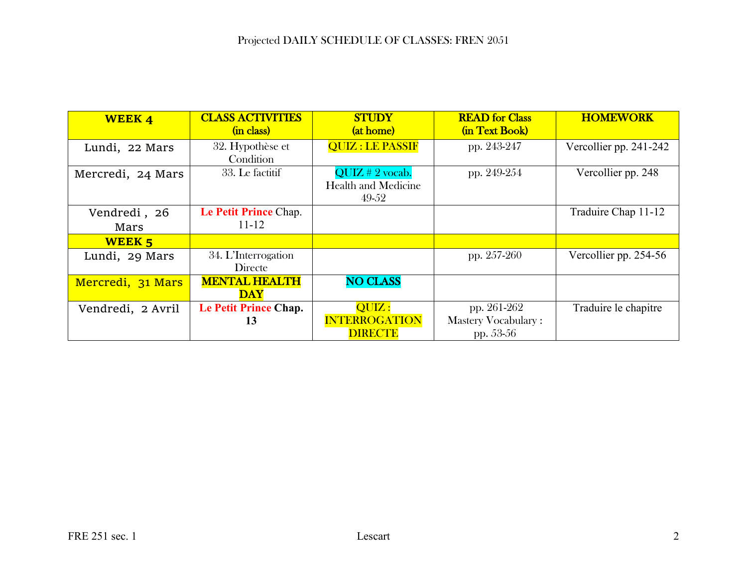| <b>WEEK4</b>      | <b>CLASS ACTIVITIES</b> | <b>STUDY</b>               | <b>READ</b> for Class      | <b>HOMEWORK</b>        |
|-------------------|-------------------------|----------------------------|----------------------------|------------------------|
|                   | (in class)              | (at home)                  | (in Text Book)             |                        |
| Lundi, 22 Mars    | 32. Hypothèse et        | <b>QUIZ : LE PASSIF</b>    | pp. 243-247                | Vercollier pp. 241-242 |
|                   | Condition               |                            |                            |                        |
| Mercredi, 24 Mars | 33. Le factitif         | $QUIZ \# 2$ vocab.         | pp. 249-254                | Vercollier pp. 248     |
|                   |                         | <b>Health and Medicine</b> |                            |                        |
|                   |                         | 49-52                      |                            |                        |
| Vendredi, 26      | Le Petit Prince Chap.   |                            |                            | Traduire Chap 11-12    |
| Mars              | $11 - 12$               |                            |                            |                        |
| <b>WEEK 5</b>     |                         |                            |                            |                        |
| Lundi, 29 Mars    | 34. L'Interrogation     |                            | pp. 257-260                | Vercollier pp. 254-56  |
|                   | Directe                 |                            |                            |                        |
| Mercredi, 31 Mars | <b>MENTAL HEALTH</b>    | <b>NO CLASS</b>            |                            |                        |
|                   | <b>DAY</b>              |                            |                            |                        |
| Vendredi, 2 Avril | Le Petit Prince Chap.   | QUIZ:                      | pp. 261-262                | Traduire le chapitre   |
|                   | 13                      | <b>INTERROGATION</b>       | <b>Mastery Vocabulary:</b> |                        |
|                   |                         | <b>DIRECTE</b>             | pp. 53-56                  |                        |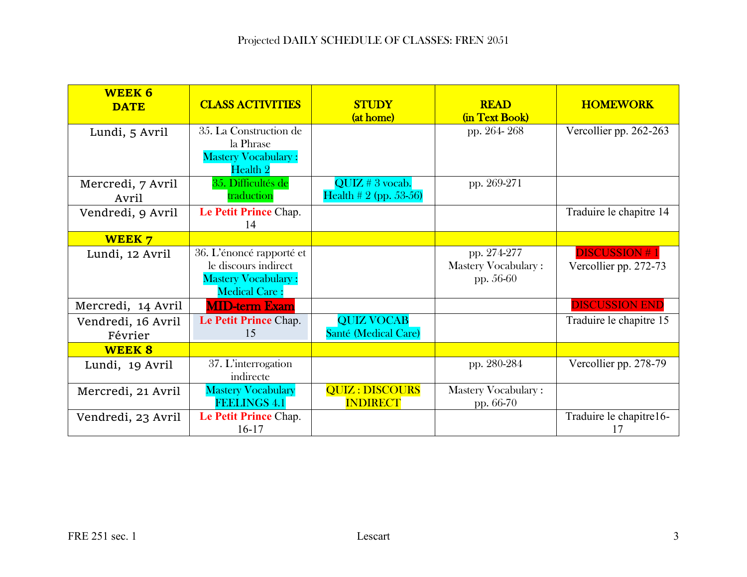| <b>WEEK 6</b><br><b>DATE</b> | <b>CLASS ACTIVITIES</b>    | <b>STUDY</b>                 | <b>READ</b>                | <b>HOMEWORK</b>         |
|------------------------------|----------------------------|------------------------------|----------------------------|-------------------------|
|                              |                            | (at home)                    | (in Text Book)             |                         |
| Lundi, 5 Avril               | 35. La Construction de     |                              | pp. 264-268                | Vercollier pp. 262-263  |
|                              | la Phrase                  |                              |                            |                         |
|                              | <b>Mastery Vocabulary:</b> |                              |                            |                         |
|                              | Health 2                   |                              |                            |                         |
| Mercredi, 7 Avril            | 35. Difficultés de         | $\overline{QUIZ}$ # 3 vocab. | pp. 269-271                |                         |
| Avril                        | traduction                 | Health # 2 (pp. 53-56)       |                            |                         |
| Vendredi, 9 Avril            | Le Petit Prince Chap.      |                              |                            | Traduire le chapitre 14 |
|                              | 14                         |                              |                            |                         |
| <b>WEEK7</b>                 |                            |                              |                            |                         |
| Lundi, 12 Avril              | 36. L'énoncé rapporté et   |                              | pp. 274-277                | <b>DISCUSSION#1</b>     |
|                              | le discours indirect       |                              | <b>Mastery Vocabulary:</b> | Vercollier pp. 272-73   |
|                              | <b>Mastery Vocabulary:</b> |                              | pp. 56-60                  |                         |
|                              | <b>Medical Care:</b>       |                              |                            |                         |
| Mercredi, 14 Avril           | <b>MID-term Exam</b>       |                              |                            | <b>DISCUSSION END</b>   |
| Vendredi, 16 Avril           | Le Petit Prince Chap.      | <b>QUIZ VOCAB</b>            |                            | Traduire le chapitre 15 |
| Février                      | 15                         | Santé (Medical Care)         |                            |                         |
| <b>WEEK 8</b>                |                            |                              |                            |                         |
| Lundi, 19 Avril              | 37. L'interrogation        |                              | pp. 280-284                | Vercollier pp. 278-79   |
|                              | indirecte                  |                              |                            |                         |
| Mercredi, 21 Avril           | <b>Mastery Vocabulary</b>  | <b>QUIZ : DISCOURS</b>       | <b>Mastery Vocabulary:</b> |                         |
|                              | <b>FEELINGS 4.1</b>        | <b>INDIRECT</b>              | pp. 66-70                  |                         |
| Vendredi, 23 Avril           | Le Petit Prince Chap.      |                              |                            | Traduire le chapitre16- |
|                              | $16-17$                    |                              |                            | 17                      |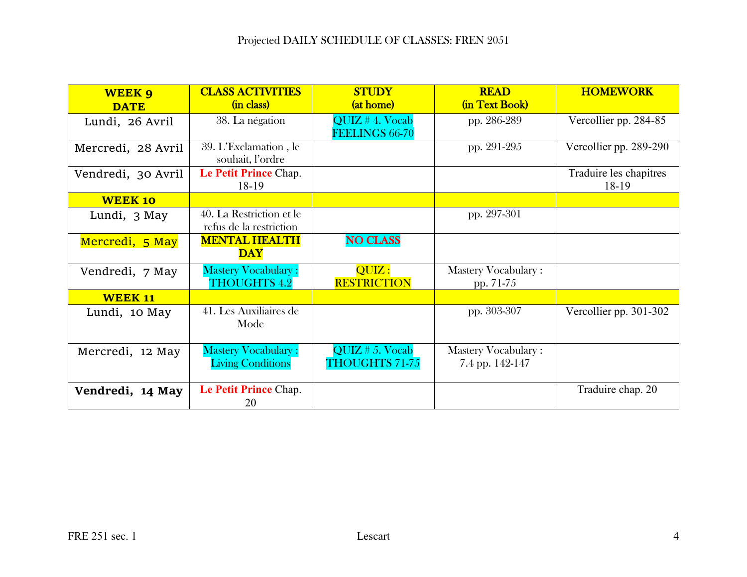## Projected DAILY SCHEDULE OF CLASSES: FREN 2051

| <b>WEEK 9</b>      | <b>CLASS ACTIVITIES</b>    | <b>STUDY</b>               | <b>READ</b>                | <b>HOMEWORK</b>        |
|--------------------|----------------------------|----------------------------|----------------------------|------------------------|
| <b>DATE</b>        | (in class)                 | (at home)                  | (in Text Book)             |                        |
| Lundi, 26 Avril    | 38. La négation            | QUIZ # 4. Vocab            | pp. 286-289                | Vercollier pp. 284-85  |
|                    |                            | FEELINGS 66-70             |                            |                        |
| Mercredi, 28 Avril | 39. L'Exclamation, le      |                            | pp. 291-295                | Vercollier pp. 289-290 |
|                    | souhait, l'ordre           |                            |                            |                        |
| Vendredi, 30 Avril | Le Petit Prince Chap.      |                            |                            | Traduire les chapitres |
|                    | 18-19                      |                            |                            | 18-19                  |
| <b>WEEK 10</b>     |                            |                            |                            |                        |
| Lundi, 3 May       | 40. La Restriction et le   |                            | pp. 297-301                |                        |
|                    | refus de la restriction    |                            |                            |                        |
| Mercredi, 5 May    | <b>MENTAL HEALTH</b>       | <b>NO CLASS</b>            |                            |                        |
|                    | <b>DAY</b>                 |                            |                            |                        |
| Vendredi, 7 May    | <b>Mastery Vocabulary:</b> | $\overline{\text{QUIZ}}$ : | <b>Mastery Vocabulary:</b> |                        |
|                    | <b>THOUGHTS 4.2</b>        | <b>RESTRICTION</b>         | pp. 71-75                  |                        |
| <b>WEEK 11</b>     |                            |                            |                            |                        |
| Lundi, 10 May      | 41. Les Auxiliaires de     |                            | pp. 303-307                | Vercollier pp. 301-302 |
|                    | Mode                       |                            |                            |                        |
|                    |                            |                            |                            |                        |
| Mercredi, 12 May   | <b>Mastery Vocabulary:</b> | QUIZ # 5. Vocab            | <b>Mastery Vocabulary:</b> |                        |
|                    | <b>Living Conditions</b>   | <b>THOUGHTS 71-75</b>      | 7.4 pp. 142-147            |                        |
|                    |                            |                            |                            |                        |
| Vendredi, 14 May   | Le Petit Prince Chap.      |                            |                            | Traduire chap. 20      |
|                    | 20                         |                            |                            |                        |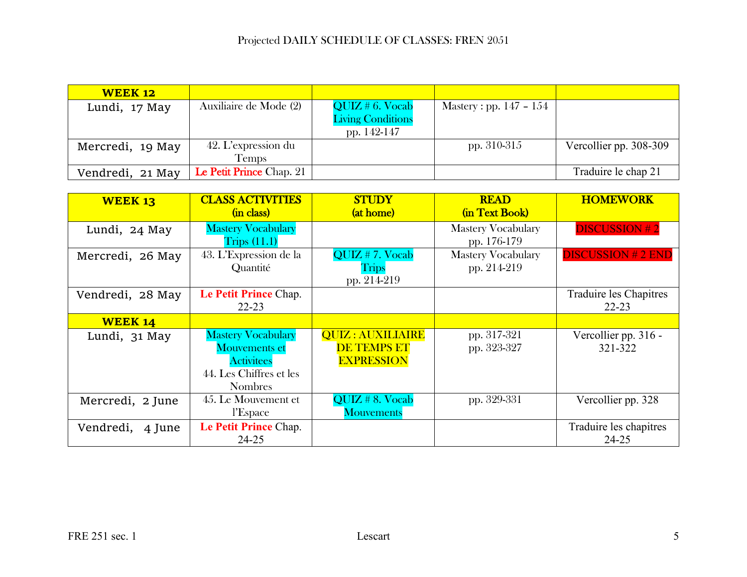| <b>WEEK 12</b>   |                                 |                          |                           |                        |
|------------------|---------------------------------|--------------------------|---------------------------|------------------------|
| Lundi, 17 May    | Auxiliaire de Mode (2)          | QUIZ # 6. Vocab          | Mastery : pp. $147 - 154$ |                        |
|                  |                                 | <b>Living Conditions</b> |                           |                        |
|                  |                                 | pp. 142-147              |                           |                        |
| Mercredi, 19 May | 42. L'expression du             |                          | pp. $310-315$             | Vercollier pp. 308-309 |
|                  | <b>Temps</b>                    |                          |                           |                        |
| Vendredi, 21 May | <b>Le Petit Prince</b> Chap. 21 |                          |                           | Traduire le chap 21    |

| <b>WEEK 13</b>      | <b>CLASS ACTIVITIES</b><br>(in class)                                                                               | <b>STUDY</b><br>(at home)                                          | <b>READ</b><br>(in Text Book)            | <b>HOMEWORK</b>                     |
|---------------------|---------------------------------------------------------------------------------------------------------------------|--------------------------------------------------------------------|------------------------------------------|-------------------------------------|
| Lundi, 24 May       | <b>Mastery Vocabulary</b><br>T <sub>rips</sub> (11.1)                                                               |                                                                    | <b>Mastery Vocabulary</b><br>pp. 176-179 | <b>DISCUSSION #2</b>                |
| Mercredi, 26 May    | 43. L'Expression de la<br>Quantité                                                                                  | QUIZ # 7. Vocab<br><b>Trips</b><br>pp. 214-219                     | <b>Mastery Vocabulary</b><br>pp. 214-219 | <b>DISCUSSION # 2 END</b>           |
| Vendredi, 28 May    | Le Petit Prince Chap.<br>$22 - 23$                                                                                  |                                                                    |                                          | Traduire les Chapitres<br>$22 - 23$ |
| <b>WEEK 14</b>      |                                                                                                                     |                                                                    |                                          |                                     |
| Lundi, 31 May       | <b>Mastery Vocabulary</b><br><b>Mouvements et</b><br><b>Activitees</b><br>44. Les Chiffres et les<br><b>Nombres</b> | <b>QUIZ: AUXILIAIRE</b><br><b>DE TEMPS ET</b><br><b>EXPRESSION</b> | pp. 317-321<br>pp. 323-327               | Vercollier pp. 316 -<br>321-322     |
| Mercredi, 2 June    | 45. Le Mouvement et<br>l'Espace                                                                                     | $QUIZ \# 8. \text{Vocab}$<br><b>Mouvements</b>                     | pp. 329-331                              | Vercollier pp. 328                  |
| Vendredi,<br>4 June | Le Petit Prince Chap.<br>$24 - 25$                                                                                  |                                                                    |                                          | Traduire les chapitres<br>$24 - 25$ |